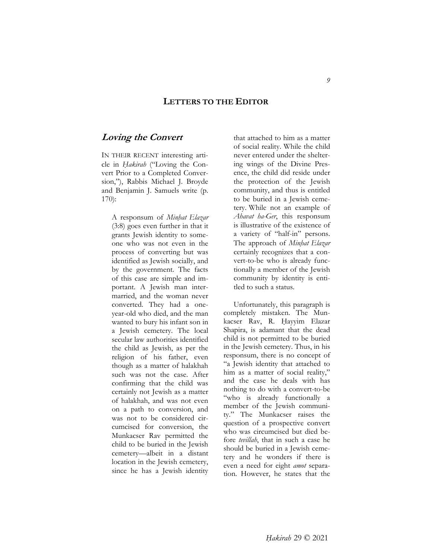### **LETTERS TO THE EDITOR**

### **Loving the Convert**

IN THEIR RECENT interesting article in *Ḥakirah* ("Loving the Convert Prior to a Completed Conversion,"), Rabbis Michael J. Broyde and Benjamin J. Samuels write (p. 170):

A responsum of *Minḥat Elazar* (3:8) goes even further in that it grants Jewish identity to someone who was not even in the process of converting but was identified as Jewish socially, and by the government. The facts of this case are simple and important. A Jewish man intermarried, and the woman never converted. They had a oneyear-old who died, and the man wanted to bury his infant son in a Jewish cemetery. The local secular law authorities identified the child as Jewish, as per the religion of his father, even though as a matter of halakhah such was not the case. After confirming that the child was certainly not Jewish as a matter of halakhah, and was not even on a path to conversion, and was not to be considered circumcised for conversion, the Munkacser Rav permitted the child to be buried in the Jewish cemetery—albeit in a distant location in the Jewish cemetery, since he has a Jewish identity

that attached to him as a matter of social reality. While the child never entered under the sheltering wings of the Divine Presence, the child did reside under the protection of the Jewish community, and thus is entitled to be buried in a Jewish cemetery. While not an example of *Ahavat ha-Ger*, this responsum is illustrative of the existence of a variety of "half-in" persons. The approach of *Minḥat Elazar* certainly recognizes that a convert-to-be who is already functionally a member of the Jewish community by identity is entitled to such a status.

 Unfortunately, this paragraph is completely mistaken. The Munkacser Rav, R. Hayyim Elazar Shapira, is adamant that the dead child is not permitted to be buried in the Jewish cemetery. Thus, in his responsum, there is no concept of "a Jewish identity that attached to him as a matter of social reality," and the case he deals with has nothing to do with a convert-to-be "who is already functionally a member of the Jewish community." The Munkacser raises the question of a prospective convert who was circumcised but died before *tevillah*, that in such a case he should be buried in a Jewish cemetery and he wonders if there is even a need for eight *amot* separation. However, he states that the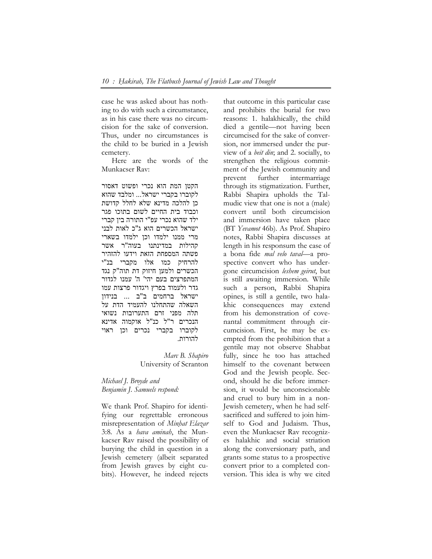case he was asked about has nothing to do with such a circumstance, as in his case there was no circumcision for the sake of conversion. Thus, under no circumstances is the child to be buried in a Jewish cemetery.

 Here are the words of the Munkacser Rav:

הקטן המת הוא נכרי ופשוט דאסור לקוברו בקברי ישראל... ומלבד שהוא כן להלכה מדינא שלא לחלל קדושת וכבוד בית החיים לשום בתוכו פגר ילד שהוא נכרי עפ"י התורה בין קברי ישראל הכשרים הוא ג"כ לאות לבני מרי ממנו ילמדו וכן ילמדו בשארי קהילות במדינתנו בעוה"ר אשר פשתה המספחת הזאת וידעו להזהיר להרחיק כמו אלו מקברי בנ"י הכשרים ולמען חיזוק דת תוה"ק נגד המתפרצים בעם יהי' ה' עמנו לגדור גדר ולעמוד בפרץ ויגדור פרצות עמו ישראל ברחמים ב"ב ... בנידון השאלה שהתחלנו להעמיד הדת על תלה מפני זרם התערובות נשואי הנכרים ר"ל כנ"ל אוקמוה אדינא לקוברו בקברי נכרים וכן ראוי להורות.

> *Marc B. Shapiro*  University of Scranton

*Michael J. Broyde and Benjamin J. Samuels respond:* 

We thank Prof. Shapiro for identifying our regrettable erroneous misrepresentation of *Minḥat Elazar*  3:8*.* As a *hava aminah*, the Munkacser Rav raised the possibility of burying the child in question in a Jewish cemetery (albeit separated from Jewish graves by eight cubits). However, he indeed rejects that outcome in this particular case and prohibits the burial for two reasons: 1. halakhically, the child died a gentile—not having been circumcised for the sake of conversion, nor immersed under the purview of a *beit din*; and 2. socially, to strengthen the religious commitment of the Jewish community and prevent further intermarriage through its stigmatization. Further, Rabbi Shapira upholds the Talmudic view that one is not a (male) convert until both circumcision and immersion have taken place (BT *Yevamot* 46b). As Prof. Shapiro notes, Rabbi Shapira discusses at length in his responsum the case of a bona fide *mal velo taval*—a prospective convert who has undergone circumcision *leshem geirut*, but is still awaiting immersion. While such a person, Rabbi Shapira opines, is still a gentile, two halakhic consequences may extend from his demonstration of covenantal commitment through circumcision. First, he may be exempted from the prohibition that a gentile may not observe Shabbat fully, since he too has attached himself to the covenant between God and the Jewish people. Second, should he die before immersion, it would be unconscionable and cruel to bury him in a non-Jewish cemetery, when he had selfsacrificed and suffered to join himself to God and Judaism. Thus, even the Munkacser Rav recognizes halakhic and social striation along the conversionary path, and grants some status to a prospective convert prior to a completed conversion. This idea is why we cited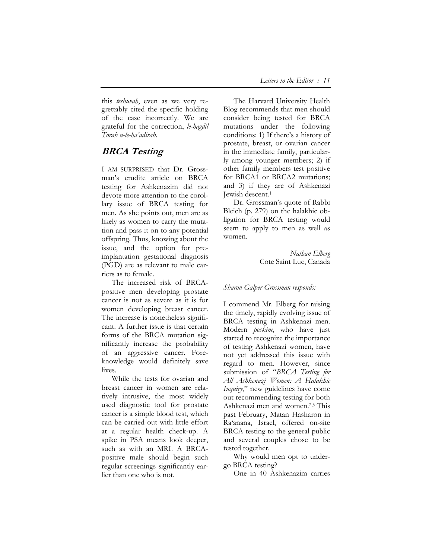this *teshuvah*, even as we very regrettably cited the specific holding of the case incorrectly. We are grateful for the correction, *le-hagdil Torah u-le-ha'adirah*.

# **BRCA Testing**

I AM SURPRISED that Dr. Grossman's erudite article on BRCA testing for Ashkenazim did not devote more attention to the corollary issue of BRCA testing for men. As she points out, men are as likely as women to carry the mutation and pass it on to any potential offspring. Thus, knowing about the issue, and the option for preimplantation gestational diagnosis (PGD) are as relevant to male carriers as to female.

The increased risk of BRCApositive men developing prostate cancer is not as severe as it is for women developing breast cancer. The increase is nonetheless significant. A further issue is that certain forms of the BRCA mutation significantly increase the probability of an aggressive cancer. Foreknowledge would definitely save lives.

While the tests for ovarian and breast cancer in women are relatively intrusive, the most widely used diagnostic tool for prostate cancer is a simple blood test, which can be carried out with little effort at a regular health check-up. A spike in PSA means look deeper, such as with an MRI. A BRCApositive male should begin such regular screenings significantly earlier than one who is not.

The Harvard University Health Blog recommends that men should consider being tested for BRCA mutations under the following conditions: 1) If there's a history of prostate, breast, or ovarian cancer in the immediate family, particularly among younger members; 2) if other family members test positive for BRCA1 or BRCA2 mutations; and 3) if they are of Ashkenazi Jewish descent.1

Dr. Grossman's quote of Rabbi Bleich (p. 279) on the halakhic obligation for BRCA testing would seem to apply to men as well as women.

> *Nathan Elberg*  Cote Saint Luc, Canada

### *Sharon Galper Grossman responds:*

I commend Mr. Elberg for raising the timely, rapidly evolving issue of BRCA testing in Ashkenazi men. Modern *poskim*, who have just started to recognize the importance of testing Ashkenazi women, have not yet addressed this issue with regard to men. However, since submission of "*BRCA Testing for All Ashkenazi Women: A Halakhic Inquiry*," new guidelines have come out recommending testing for both Ashkenazi men and women.2,3 This past February, Matan Hasharon in Ra'anana, Israel, offered on-site BRCA testing to the general public and several couples chose to be tested together.

Why would men opt to undergo BRCA testing?

One in 40 Ashkenazim carries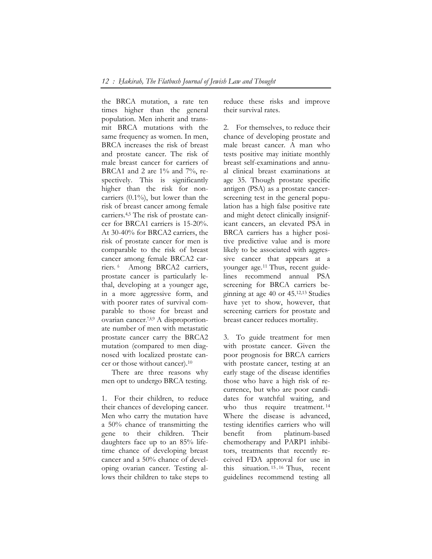the BRCA mutation, a rate ten times higher than the general population. Men inherit and transmit BRCA mutations with the same frequency as women. In men, BRCA increases the risk of breast and prostate cancer. The risk of male breast cancer for carriers of BRCA1 and 2 are 1% and 7%, respectively. This is significantly higher than the risk for noncarriers (0.1%), but lower than the risk of breast cancer among female carriers.4,5 The risk of prostate cancer for BRCA1 carriers is 15-20%. At 30-40% for BRCA2 carriers, the risk of prostate cancer for men is comparable to the risk of breast cancer among female BRCA2 carriers. 6 Among BRCA2 carriers, prostate cancer is particularly lethal, developing at a younger age, in a more aggressive form, and with poorer rates of survival comparable to those for breast and ovarian cancer. 7,8,9 A disproportionate number of men with metastatic prostate cancer carry the BRCA2 mutation (compared to men diagnosed with localized prostate cancer or those without cancer).10

There are three reasons why men opt to undergo BRCA testing.

1. For their children, to reduce their chances of developing cancer. Men who carry the mutation have a 50% chance of transmitting the gene to their children. Their daughters face up to an 85% lifetime chance of developing breast cancer and a 50% chance of developing ovarian cancer. Testing allows their children to take steps to reduce these risks and improve their survival rates.

2. For themselves, to reduce their chance of developing prostate and male breast cancer. A man who tests positive may initiate monthly breast self-examinations and annual clinical breast examinations at age 35. Though prostate specific antigen (PSA) as a prostate cancerscreening test in the general population has a high false positive rate and might detect clinically insignificant cancers, an elevated PSA in BRCA carriers has a higher positive predictive value and is more likely to be associated with aggressive cancer that appears at a younger age.11 Thus, recent guidelines recommend annual PSA screening for BRCA carriers beginning at age 40 or 45.12,13 Studies have yet to show, however, that screening carriers for prostate and breast cancer reduces mortality.

3. To guide treatment for men with prostate cancer. Given the poor prognosis for BRCA carriers with prostate cancer, testing at an early stage of the disease identifies those who have a high risk of recurrence, but who are poor candidates for watchful waiting, and who thus require treatment.<sup>14</sup> Where the disease is advanced, testing identifies carriers who will benefit from platinum-based chemotherapy and PARP1 inhibitors, treatments that recently received FDA approval for use in this situation.<sup>15,16</sup> Thus, recent guidelines recommend testing all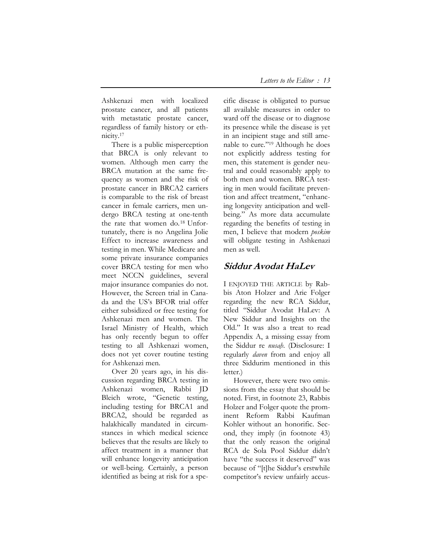Ashkenazi men with localized prostate cancer, and all patients with metastatic prostate cancer, regardless of family history or ethnicity.17

There is a public misperception that BRCA is only relevant to women. Although men carry the BRCA mutation at the same frequency as women and the risk of prostate cancer in BRCA2 carriers is comparable to the risk of breast cancer in female carriers, men undergo BRCA testing at one-tenth the rate that women do.18 Unfortunately, there is no Angelina Jolie Effect to increase awareness and testing in men. While Medicare and some private insurance companies cover BRCA testing for men who meet NCCN guidelines, several major insurance companies do not. However, the Screen trial in Canada and the US's BFOR trial offer either subsidized or free testing for Ashkenazi men and women. The Israel Ministry of Health, which has only recently begun to offer testing to all Ashkenazi women, does not yet cover routine testing for Ashkenazi men.

Over 20 years ago, in his discussion regarding BRCA testing in Ashkenazi women, Rabbi JD Bleich wrote, "Genetic testing, including testing for BRCA1 and BRCA2, should be regarded as halakhically mandated in circumstances in which medical science believes that the results are likely to affect treatment in a manner that will enhance longevity anticipation or well-being. Certainly, a person identified as being at risk for a specific disease is obligated to pursue all available measures in order to ward off the disease or to diagnose its presence while the disease is yet in an incipient stage and still amenable to cure."19 Although he does not explicitly address testing for men, this statement is gender neutral and could reasonably apply to both men and women. BRCA testing in men would facilitate prevention and affect treatment, "enhancing longevity anticipation and wellbeing." As more data accumulate regarding the benefits of testing in men, I believe that modern *poskim* will obligate testing in Ashkenazi men as well.

# **Siddur Avodat HaLev**

I ENJOYED THE ARTICLE by Rabbis Aton Holzer and Arie Folger regarding the new RCA Siddur, titled "Siddur Avodat HaLev: A New Siddur and Insights on the Old." It was also a treat to read Appendix A, a missing essay from the Siddur re *nusaḥ*. (Disclosure: I regularly *daven* from and enjoy all three Siddurim mentioned in this letter.)

However, there were two omissions from the essay that should be noted. First, in footnote 23, Rabbis Holzer and Folger quote the prominent Reform Rabbi Kaufman Kohler without an honorific. Second, they imply (in footnote 43) that the only reason the original RCA de Sola Pool Siddur didn't have "the success it deserved" was because of "[t]he Siddur's erstwhile competitor's review unfairly accus-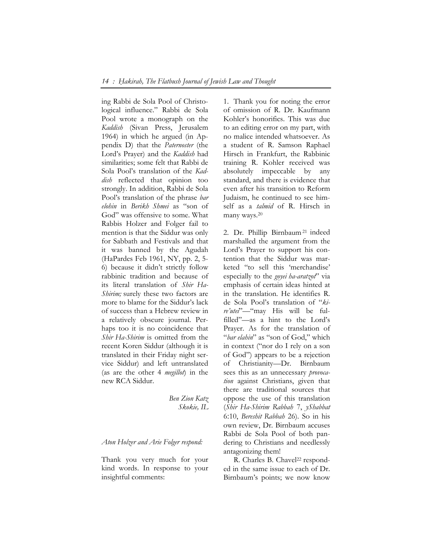ing Rabbi de Sola Pool of Christological influence." Rabbi de Sola Pool wrote a monograph on the *Kaddish* (Sivan Press, Jerusalem 1964) in which he argued (in Appendix D) that the *Paternoster* (the Lord's Prayer) and the *Kaddish* had similarities; some felt that Rabbi de Sola Pool's translation of the *Kaddish* reflected that opinion too strongly. In addition, Rabbi de Sola Pool's translation of the phrase *bar elohin* in *Berikh Shmei* as "son of God" was offensive to some. What Rabbis Holzer and Folger fail to mention is that the Siddur was only for Sabbath and Festivals and that it was banned by the Agudah (HaPardes Feb 1961, NY, pp. 2, 5- 6) because it didn't strictly follow rabbinic tradition and because of its literal translation of *Shir Ha-Shirim;* surely these two factors are more to blame for the Siddur's lack of success than a Hebrew review in a relatively obscure journal. Perhaps too it is no coincidence that *Shir Ha-Shirim* is omitted from the recent Koren Siddur (although it is translated in their Friday night service Siddur) and left untranslated (as are the other 4 *megillot*) in the new RCA Siddur.

> *Ben Zion Katz Skokie, IL*

#### *Aton Holzer and Arie Folger respond:*

Thank you very much for your kind words. In response to your insightful comments:

1. Thank you for noting the error of omission of R. Dr. Kaufmann Kohler's honorifics. This was due to an editing error on my part, with no malice intended whatsoever. As a student of R. Samson Raphael Hirsch in Frankfurt, the Rabbinic training R. Kohler received was absolutely impeccable by any standard, and there is evidence that even after his transition to Reform Judaism, he continued to see himself as a *talmid* of R. Hirsch in many ways.20

2. Dr. Phillip Birnbaum<sup>21</sup> indeed marshalled the argument from the Lord's Prayer to support his contention that the Siddur was marketed "to sell this 'merchandise' especially to the *goyei ha-aratzot*" via emphasis of certain ideas hinted at in the translation. He identifies R. de Sola Pool's translation of "*kire'utei*"—"may His will be fulfilled"—as a hint to the Lord's Prayer. As for the translation of "*bar elahin*" as "son of God," which in context ("nor do I rely on a son of God") appears to be a rejection of Christianity—Dr. Birnbaum sees this as an unnecessary *provocation* against Christians, given that there are traditional sources that oppose the use of this translation (*Shir Ha-Shirim Rabbah* 7, *yShabbat* 6:10, *Bereshit Rabbah* 26). So in his own review, Dr. Birnbaum accuses Rabbi de Sola Pool of both pandering to Christians and needlessly antagonizing them!

R. Charles B. Chavel<sup>22</sup> responded in the same issue to each of Dr. Birnbaum's points; we now know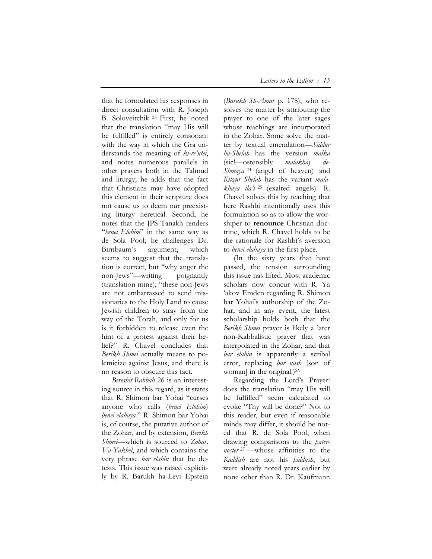that he formulated his responses in direct consultation with R. Joseph B. Soloveitchik. 23 First, he noted that the translation "may His will be fulfilled" is entirely consonant with the way in which the Gra understands the meaning of *ki-re'utei*, and notes numerous parallels in other prayers both in the Talmud and liturgy; he adds that the fact that Christians may have adopted this element in their scripture does not cause us to deem our preexisting liturgy heretical. Second, he notes that the JPS Tanakh renders "*benei Elohim*" in the same way as de Sola Pool; he challenges Dr. Birnbaum's argument, which seems to suggest that the translation is correct, but "why anger the non-Jews"—writing poignantly (translation mine), "these non-Jews are not embarrassed to send missionaries to the Holy Land to cause Jewish children to stray from the way of the Torah, and only for us is it forbidden to release even the hint of a protest against their belief?" R. Chavel concludes that *Berikh Shmei* actually means to polemicize against Jesus, and there is no reason to obscure this fact.

*Bereshit Rabbah* 26 is an interesting source in this regard, as it states that R. Shimon bar Yohai "curses anyone who calls (*benei Elohim*) *benei elahaya.*" R. Shimon bar Yohai is, of course, the putative author of the Zohar, and by extension, *Berikh Shmei*—which is sourced to *Zohar, Va-Yakhel*, and which contains the very phrase *bar elahin* that he detests. This issue was raised explicitly by R. Barukh ha-Levi Epstein

(*Barukh Sh-Amar* p. 178), who resolves the matter by attributing the prayer to one of the later sages whose teachings are incorporated in the Zohar. Some solve the matter by textual emendation—*Siddur ha-Shelah* has the version *malka* (sic!—ostensibly *malakha*) *de-Shmaya* 24 (angel of heaven) and *Kitzur Shelah* has the variant *malakhaya ila'i* 25 (exalted angels). R. Chavel solves this by teaching that here Rashbi intentionally uses this formulation so as to allow the worshiper to **renounce** Christian doctrine, which R. Chavel holds to be the rationale for Rashbi's aversion to *benei elahaya* in the first place.

(In the sixty years that have passed, the tension surrounding this issue has lifted. Most academic scholars now concur with R. Ya 'akov Emden regarding R. Shimon bar Yohai's authorship of the Zohar; and in any event, the latest scholarship holds both that the *Berikh Shmei* prayer is likely a later non-Kabbalistic prayer that was interpolated in the Zohar, and that *bar elahin* is apparently a scribal error, replacing *bar nash* [son of woman] in the original.)<sup>26</sup>

Regarding the Lord's Prayer: does the translation "may His will be fulfilled" seem calculated to evoke "Thy will be done?" Not to this reader, but even if reasonable minds may differ, it should be noted that R. de Sola Pool, when drawing comparisons to the *paternoster* <sup>27</sup> —whose affinities to the *Kaddish* are not his *ḥiddush*, but were already noted years earlier by none other than R. Dr. Kaufmann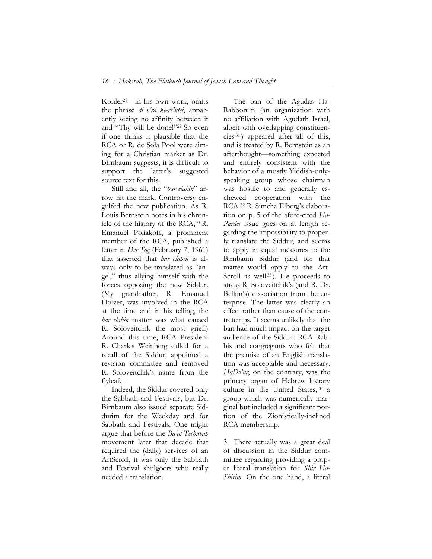Kohler28—in his own work, omits the phrase *di v'ra ke-re'utei*, apparently seeing no affinity between it and "Thy will be done!"29 So even if one thinks it plausible that the RCA or R. de Sola Pool were aiming for a Christian market as Dr. Birnbaum suggests, it is difficult to support the latter's suggested source text for this.

Still and all, the "*bar elahin*" arrow hit the mark. Controversy engulfed the new publication. As R. Louis Bernstein notes in his chronicle of the history of the RCA,30 R. Emanuel Poliakoff, a prominent member of the RCA, published a letter in *Der Tog* (February 7, 1961) that asserted that *bar elahin* is always only to be translated as "angel," thus allying himself with the forces opposing the new Siddur. (My grandfather, R. Emanuel Holzer, was involved in the RCA at the time and in his telling, the *bar elahin* matter was what caused R. Soloveitchik the most grief.) Around this time, RCA President R. Charles Weinberg called for a recall of the Siddur, appointed a revision committee and removed R. Soloveitchik's name from the flyleaf.

Indeed, the Siddur covered only the Sabbath and Festivals, but Dr. Birnbaum also issued separate Siddurim for the Weekday and for Sabbath and Festivals. One might argue that before the *Ba'al Teshuvah* movement later that decade that required the (daily) services of an ArtScroll, it was only the Sabbath and Festival shulgoers who really needed a translation.

The ban of the Agudas Ha-Rabbonim (an organization with no affiliation with Agudath Israel, albeit with overlapping constituencies <sup>31</sup> ) appeared after all of this, and is treated by R. Bernstein as an afterthought—something expected and entirely consistent with the behavior of a mostly Yiddish-onlyspeaking group whose chairman was hostile to and generally eschewed cooperation with the RCA.32 R. Simcha Elberg's elaboration on p. 5 of the afore-cited *Ha-Pardes* issue goes on at length regarding the impossibility to properly translate the Siddur, and seems to apply in equal measures to the Birnbaum Siddur (and for that matter would apply to the Art-Scroll as well<sup>33</sup>). He proceeds to stress R. Soloveitchik's (and R. Dr. Belkin's) dissociation from the enterprise. The latter was clearly an effect rather than cause of the contretemps. It seems unlikely that the ban had much impact on the target audience of the Siddur: RCA Rabbis and congregants who felt that the premise of an English translation was acceptable and necessary. *HaDo'ar*, on the contrary, was the primary organ of Hebrew literary culture in the United States, 34 a group which was numerically marginal but included a significant portion of the Zionistically-inclined RCA membership.

3. There actually was a great deal of discussion in the Siddur committee regarding providing a proper literal translation for *Shir Ha-Shirim*. On the one hand, a literal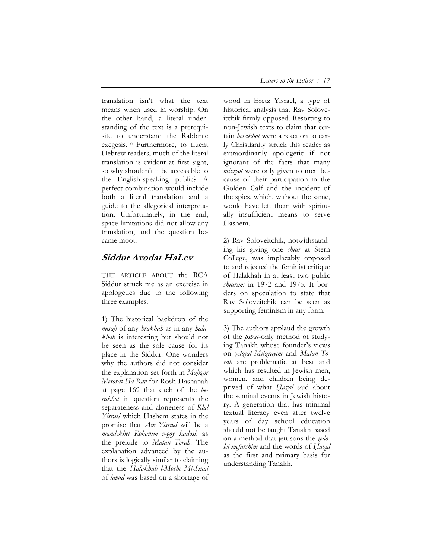translation isn't what the text means when used in worship. On the other hand, a literal understanding of the text is a prerequisite to understand the Rabbinic exegesis. 35 Furthermore, to fluent Hebrew readers, much of the literal translation is evident at first sight, so why shouldn't it be accessible to the English-speaking public? A perfect combination would include both a literal translation and a guide to the allegorical interpretation. Unfortunately, in the end, space limitations did not allow any translation, and the question became moot.

# **Siddur Avodat HaLev**

THE ARTICLE ABOUT the RCA Siddur struck me as an exercise in apologetics due to the following three examples:

1) The historical backdrop of the *nusaḥ* of any *brakhah* as in any *halakhah* is interesting but should not be seen as the sole cause for its place in the Siddur. One wonders why the authors did not consider the explanation set forth in *Maḥzor Mesorat Ha-Rav* for Rosh Hashanah at page 169 that each of the *berakhot* in question represents the separateness and aloneness of *Klal Yisrael* which Hashem states in the promise that *Am Yisrael* will be a *mamlekhet Kohanim v-goy kadosh* as the prelude to *Matan Torah*. The explanation advanced by the authors is logically similar to claiming that the *Halakhah l-Moshe Mi-Sinai* of *lavud* was based on a shortage of

wood in Eretz Yisrael, a type of historical analysis that Rav Soloveitchik firmly opposed. Resorting to non-Jewish texts to claim that certain *berakhot* were a reaction to early Christianity struck this reader as extraordinarily apologetic if not ignorant of the facts that many *mitzvot* were only given to men because of their participation in the Golden Calf and the incident of the spies, which, without the same, would have left them with spiritually insufficient means to serve Hashem.

2) Rav Soloveitchik, notwithstanding his giving one *shiur* at Stern College, was implacably opposed to and rejected the feminist critique of Halakhah in at least two public *shiurim:* in 1972 and 1975. It borders on speculation to state that Rav Soloveitchik can be seen as supporting feminism in any form.

3) The authors applaud the growth of the *pshat*-only method of studying Tanakh whose founder's views on *yetziat Mitzrayim* and *Matan Torah* are problematic at best and which has resulted in Jewish men, women, and children being deprived of what *Ḥazal* said about the seminal events in Jewish history. A generation that has minimal textual literacy even after twelve years of day school education should not be taught Tanakh based on a method that jettisons the *gedolei mefarshim* and the words of *Ḥazal* as the first and primary basis for understanding Tanakh.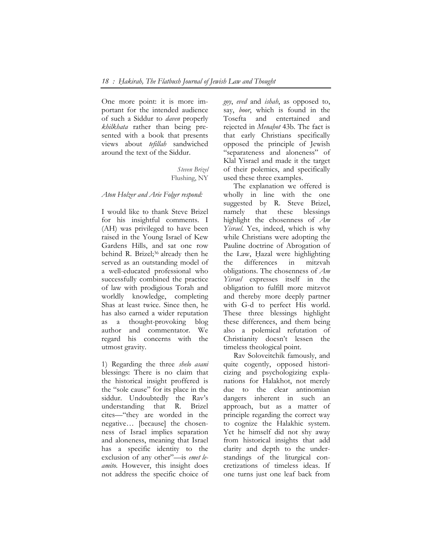One more point: it is more important for the intended audience of such a Siddur to *daven* properly *khilkhata* rather than being presented with a book that presents views about *tefillah* sandwiched around the text of the Siddur.

> *Steven Brizel*  Flushing, NY

#### *Aton Holzer and Arie Folger respond:*

I would like to thank Steve Brizel for his insightful comments. I (AH) was privileged to have been raised in the Young Israel of Kew Gardens Hills, and sat one row behind R. Brizel;<sup>36</sup> already then he served as an outstanding model of a well-educated professional who successfully combined the practice of law with prodigious Torah and worldly knowledge, completing Shas at least twice. Since then, he has also earned a wider reputation as a thought-provoking blog author and commentator. We regard his concerns with the utmost gravity.

1) Regarding the three *shelo asani* blessings: There is no claim that the historical insight proffered is the "sole cause" for its place in the siddur. Undoubtedly the Rav's understanding that R. Brizel cites—"they are worded in the negative… [because] the chosenness of Israel implies separation and aloneness, meaning that Israel has a specific identity to the exclusion of any other"—is *emet leamito*. However, this insight does not address the specific choice of *goy*, *eved* and *ishah*, as opposed to, say, *boor*, which is found in the Tosefta and entertained and rejected in *Menaḥot* 43b. The fact is that early Christians specifically opposed the principle of Jewish "separateness and aloneness" of Klal Yisrael and made it the target of their polemics, and specifically used these three examples.

The explanation we offered is wholly in line with the one suggested by R. Steve Brizel, namely that these blessings highlight the chosenness of *Am Yisrael*. Yes, indeed, which is why while Christians were adopting the Pauline doctrine of Abrogation of the Law, Hazal were highlighting the differences in mitzvah obligations. The chosenness of *Am Yisrael* expresses itself in the obligation to fulfill more mitzvot and thereby more deeply partner with G-d to perfect His world. These three blessings highlight these differences, and them being also a polemical refutation of Christianity doesn't lessen the timeless theological point.

Rav Soloveitchik famously, and quite cogently, opposed historicizing and psychologizing explanations for Halakhot, not merely due to the clear antinomian dangers inherent in such an approach, but as a matter of principle regarding the correct way to cognize the Halakhic system. Yet he himself did not shy away from historical insights that add clarity and depth to the understandings of the liturgical concretizations of timeless ideas. If one turns just one leaf back from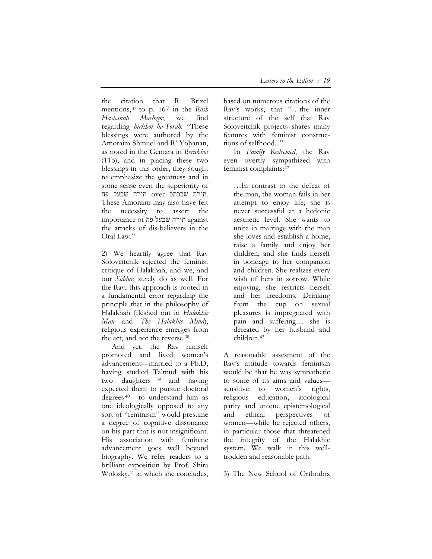the citation that R. Brizel mentions, 37 to p. 167 in the *Rosh Hashanah Machzor*, we find regarding *birkhot ha-Torah*: "These blessings were authored by the Amoraim Shmuel and R' Yohanan, as noted in the Gemara in *Berakhot* (11b), and in placing these two blessings in this order, they sought to emphasize the greatness and in some sense even the superiority of .תורה שבכתב over תורה שבעל פה These Amoraim may also have felt the necessity to assert the importance of תורה שבעל פה the attacks of dis-believers in the Oral Law."

2) We heartily agree that Rav Soloveitchik rejected the feminist critique of Halakhah, and we, and our *Siddur*, surely do as well. For the Rav, this approach is rooted in a fundamental error regarding the principle that in the philosophy of Halakhah (fleshed out in *Halakhic Man* and *The Halakhic Mind*), religious experience emerges from the act, and not the reverse.38

And yet, the Rav himself promoted and lived women's advancement—married to a Ph.D, having studied Talmud with his two daughters 39 and having expected them to pursue doctoral degrees 40—to understand him as one ideologically opposed to any sort of "feminism" would presume a degree of cognitive dissonance on his part that is not insignificant. His association with feminine advancement goes well beyond biography. We refer readers to a brilliant exposition by Prof. Shira Wolosky,41 in which she concludes,

based on numerous citations of the Rav's works, that "…the inner structure of the self that Rav Soloveitchik projects shares many features with feminist constructions of selfhood..."

In *Family Redeemed*, the Rav even overtly sympathized with feminist complaints:42

…In contrast to the defeat of the man, the woman fails in her attempt to enjoy life; she is never successful at a hedonic aesthetic level. She wants to unite in marriage with the man she loves and establish a home, raise a family and enjoy her children, and she finds herself in bondage to her companion and children. She realizes every wish of hers in sorrow. While enjoying, she restricts herself and her freedoms. Drinking from the cup on sexual pleasures is impregnated with pain and suffering… she is defeated by her husband and children.43

A reasonable assesment of the Rav's attitude towards feminism would be that he was sympathetic to some of its aims and values sensitive to women's rights, religious education, axiological parity and unique epistemological and ethical perspectives of women—while he rejected others, in particular those that threatened the integrity of the Halakhic system. We walk in this welltrodden and reasonable path.

3) The New School of Orthodox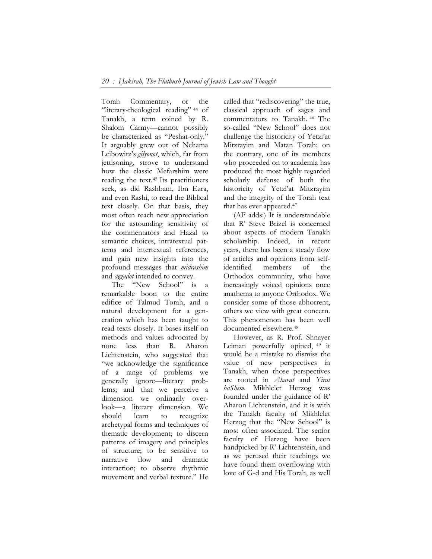Torah Commentary, or the "literary-theological reading" 44 of Tanakh, a term coined by R. Shalom Carmy—cannot possibly be characterized as "Peshat-only." It arguably grew out of Nehama Leibowitz's *gilyonot*, which, far from jettisoning, strove to understand how the classic Mefarshim were reading the text.45 Its practitioners seek, as did Rashbam, Ibn Ezra, and even Rashi, to read the Biblical text closely. On that basis, they most often reach new appreciation for the astounding sensitivity of the commentators and Hazal to semantic choices, intratextual patterns and intertextual references, and gain new insights into the profound messages that *midrashim* and *aggadot* intended to convey.

The "New School" is a remarkable boon to the entire edifice of Talmud Torah, and a natural development for a generation which has been taught to read texts closely. It bases itself on methods and values advocated by none less than R. Aharon Lichtenstein, who suggested that "we acknowledge the significance of a range of problems we generally ignore—literary problems; and that we perceive a dimension we ordinarily overlook—a literary dimension. We should learn to recognize archetypal forms and techniques of thematic development; to discern patterns of imagery and principles of structure; to be sensitive to narrative flow and dramatic interaction; to observe rhythmic movement and verbal texture." He

called that "rediscovering" the true, classical approach of sages and commentators to Tanakh. 46 The so-called "New School" does not challenge the historicity of Yetzi'at Mitzrayim and Matan Torah; on the contrary, one of its members who proceeded on to academia has produced the most highly regarded scholarly defense of both the historicity of Yetzi'at Mitzrayim and the integrity of the Torah text that has ever appeared.47

(AF adds:) It is understandable that R' Steve Brizel is concerned about aspects of modern Tanakh scholarship. Indeed, in recent years, there has been a steady flow of articles and opinions from selfidentified members of the Orthodox community, who have increasingly voiced opinions once anathema to anyone Orthodox. We consider some of those abhorrent, others we view with great concern. This phenomenon has been well documented elsewhere.48

However, as R. Prof. Shnayer Leiman powerfully opined, 49 it would be a mistake to dismiss the value of new perspectives in Tanakh, when those perspectives are rooted in *Ahavat* and *Yirat haShem*. Mikhlelet Herzog was founded under the guidance of R' Aharon Lichtenstein, and it is with the Tanakh faculty of Mikhlelet Herzog that the "New School" is most often associated. The senior faculty of Herzog have been handpicked by R' Lichtenstein, and as we perused their teachings we have found them overflowing with love of G-d and His Torah, as well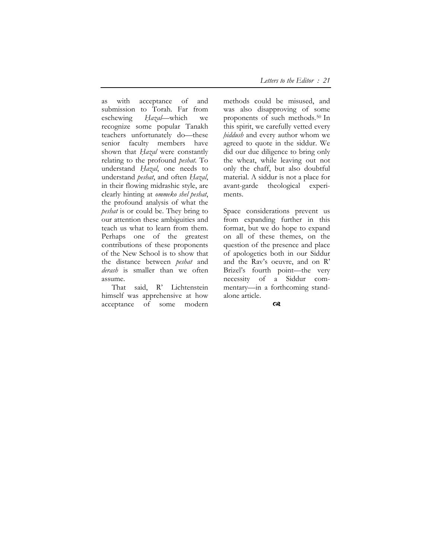as with acceptance of and submission to Torah. Far from eschewing *Ḥazal*—which we recognize some popular Tanakh teachers unfortunately do—these senior faculty members have shown that *Ḥazal* were constantly relating to the profound *peshat*. To understand *Ḥazal*, one needs to understand *peshat*, and often *Ḥazal*, in their flowing midrashic style, are clearly hinting at *ommeko shel peshat*, the profound analysis of what the *peshat* is or could be. They bring to our attention these ambiguities and teach us what to learn from them. Perhaps one of the greatest contributions of these proponents of the New School is to show that the distance between *peshat* and *derash* is smaller than we often assume.

That said, R' Lichtenstein himself was apprehensive at how acceptance of some modern

methods could be misused, and was also disapproving of some proponents of such methods.50 In this spirit, we carefully vetted every *ḥiddush* and every author whom we agreed to quote in the siddur. We did our due diligence to bring only the wheat, while leaving out not only the chaff, but also doubtful material. A siddur is not a place for avant-garde theological experiments.

Space considerations prevent us from expanding further in this format, but we do hope to expand on all of these themes, on the question of the presence and place of apologetics both in our Siddur and the Rav's oeuvre, and on R' Brizel's fourth point—the very necessity of a Siddur commentary—in a forthcoming standalone article.

 $\infty$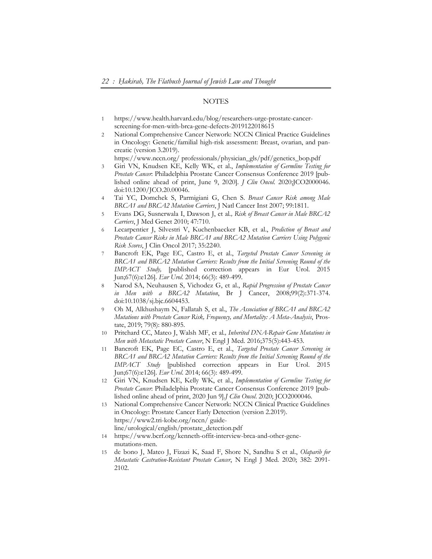#### **NOTES**

- 1 https://www.health.harvard.edu/blog/researchers-urge-prostate-cancerscreening-for-men-with-brca-gene-defects-2019122018615
- 2 National Comprehensive Cancer Network: NCCN Clinical Practice Guidelines in Oncology: Genetic/familial high-risk assessment: Breast, ovarian, and pancreatic (version 3.2019).

https://www.nccn.org/ professionals/physician\_gls/pdf/genetics\_bop.pdf

- 3 Giri VN, Knudsen KE, Kelly WK, et al., *Implementation of Germline Testing for Prostate Cancer*: Philadelphia Prostate Cancer Consensus Conference 2019 [published online ahead of print, June 9, 2020]. *J Clin Oncol*. 2020;JCO2000046. doi:10.1200/JCO.20.00046.
- 4 Tai YC, Domchek S, Parmigiani G, Chen S. *Breast Cancer Risk among Male BRCA1 and BRCA2 Mutation Carriers*, J Natl Cancer Inst 2007; 99:1811.
- 5 Evans DG, Susnerwala I, Dawson J, et al*., Risk of Breast Cancer in Male BRCA2 Carriers*, J Med Genet 2010; 47:710.
- 6 Lecarpentier J, Silvestri V, Kuchenbaecker KB, et al., *Prediction of Breast and Prostate Cancer Risks in Male BRCA1 and BRCA2 Mutation Carriers Using Polygenic Risk Scores*, J Clin Oncol 2017; 35:2240.
- 7 Bancroft EK, Page EC, Castro E, et al., *Targeted Prostate Cancer Screening in BRCA1 and BRCA2 Mutation Carriers: Results from the Initial Screening Round of the IMPACT Study,* [published correction appears in Eur Urol. 2015 Jun;67(6):e126]. *Eur Urol*. 2014; 66(3): 489-499.
- 8 Narod SA, Neuhausen S, Vichodez G, et al., *Rapid Progression of Prostate Cancer in Men with a BRCA2 Mutation*, Br J Cancer, 2008;99(2):371-374. doi:10.1038/sj.bjc.6604453.
- 9 Oh M, Alkhushaym N, Fallatah S, et al., *The Association of BRCA1 and BRCA2 Mutations with Prostate Cancer Risk, Frequency, and Mortality: A Meta-Analysis*, Prostate, 2019; 79(8): 880-895.
- 10 Pritchard CC, Mateo J, Walsh MF, et al*., Inherited DNA-Repair Gene Mutations in Men with Metastatic Prostate Cancer*, N Engl J Med. 2016;375(5):443-453.
- 11 Bancroft EK, Page EC, Castro E, et al., *Targeted Prostate Cancer Screening in BRCA1 and BRCA2 Mutation Carriers: Results from the Initial Screening Round of the IMPACT Study* [published correction appears in Eur Urol. 2015 Jun;67(6):e126]. *Eur Urol*. 2014; 66(3): 489-499.
- 12 Giri VN, Knudsen KE, Kelly WK, et al., *Implementation of Germline Testing for Prostate Cancer*: Philadelphia Prostate Cancer Consensus Conference 2019 [published online ahead of print, 2020 Jun 9].*J Clin Oncol*. 2020; JCO2000046.
- 13 National Comprehensive Cancer Network: NCCN Clinical Practice Guidelines in Oncology: Prostate Cancer Early Detection (version 2.2019). https://www2.tri-kobe.org/nccn/ guideline/urological/english/prostate\_detection.pdf
- 14 https://www.bcrf.org/kenneth-offit-interview-brca-and-other-genemutations-men.
- 15 de bono J, Mateo J, Fizazi K, Saad F, Shore N, Sandhu S et al., *Olaparib for Metastatic Castration-Resistant Prostate Cancer*, N Engl J Med*.* 2020; 382: 2091- 2102.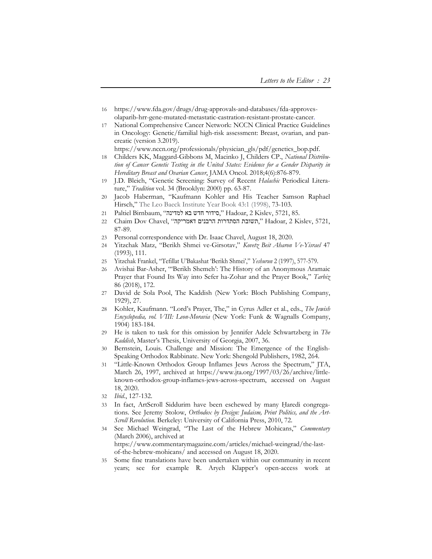- 16 https://www.fda.gov/drugs/drug-approvals-and-databases/fda-approvesolaparib-hrr-gene-mutated-metastatic-castration-resistant-prostate-cancer.
- 17 National Comprehensive Cancer Network: NCCN Clinical Practice Guidelines in Oncology: Genetic/familial high-risk assessment: Breast, ovarian, and pancreatic (version 3.2019).

https://www.nccn.org/professionals/physician\_gls/pdf/genetics\_bop.pdf.

- 18 Childers KK, Maggard-Gibbons M, Macinko J, Childers CP., *National Distribution of Cancer Genetic Testing in the United States: Evidence for a Gender Disparity in Hereditary Breast and Ovarian Cancer*, JAMA Oncol*.* 2018;4(6):876-879.
- 19 J.D. Bleich, "Genetic Screening: Survey of Recent *Halachic* Periodical Literature," *Tradition* vol. 34 (Brooklyn: 2000) pp. 63-87.
- 20 Jacob Haberman, "Kaufmann Kohler and His Teacher Samson Raphael Hirsch," The Leo Baeck Institute Year Book 43:1 (1998), 73-103.
- 21 Paltiel Birnbaum, "הידור חדש בא למדינה" , Hadoar, 2 Kislev, 5721, 85.
- 22 Chaim Dov Chavel, "דאמריקה הרבנים הסתדרות תשובת, "Hadoar, 2 Kislev, 5721, 87-89.
- 23 Personal correspondence with Dr. Isaac Chavel, August 18, 2020.
- 24 Yitzchak Matz, "Berikh Shmei ve-Girsotav," *Kovetz Beit Aharon Ve-Yisrael* 47 (1993), 111.
- 25 Yitzchak Frankel, "Tefillat U'Bakashat 'Berikh Shmei'," *Yeshurun* 2 (1997), 577-579.
- 26 Avishai Bar-Asher, "'Berikh Shemeh': The History of an Anonymous Aramaic Prayer that Found Its Way into Sefer ha-Zohar and the Prayer Book," *Tarbiz* 86 (2018), 172.
- 27 David de Sola Pool, The Kaddish (New York: Bloch Publishing Company, 1929), 27.
- 28 Kohler, Kaufmann. "Lord's Prayer, The," in Cyrus Adler et al., eds., *The Jewish Encyclopedia, vol. VIII: Leon-Moravia* (New York: Funk & Wagnalls Company, 1904) 183-184.
- 29 He is taken to task for this omission by Jennifer Adele Schwartzberg in *The Kaddish*, Master's Thesis, University of Georgia, 2007, 36.
- 30 Bernstein, Louis. Challenge and Mission: The Emergence of the English-Speaking Orthodox Rabbinate. New York: Shengold Publishers, 1982, 264.
- 31 "Little-Known Orthodox Group Inflames Jews Across the Spectrum," JTA, March 26, 1997, archived at https://www.jta.org/1997/03/26/archive/littleknown-orthodox-group-inflames-jews-across-spectrum, accessed on August 18, 2020.
- 32 *Ibid*., 127-132.
- 33 In fact, ArtScroll Siddurim have been eschewed by many Haredi congregations. See Jeremy Stolow, *Orthodox by Design: Judaism, Print Politics, and the Art-Scroll Revolution.* Berkeley: University of California Press, 2010, 72.
- 34 See Michael Weingrad, "The Last of the Hebrew Mohicans," *Commentary* (March 2006), archived at https://www.commentarymagazine.com/articles/michael-weingrad/the-lastof-the-hebrew-mohicans/ and accessed on August 18, 2020.
- 35 Some fine translations have been undertaken within our community in recent years; see for example R. Aryeh Klapper's open-access work at